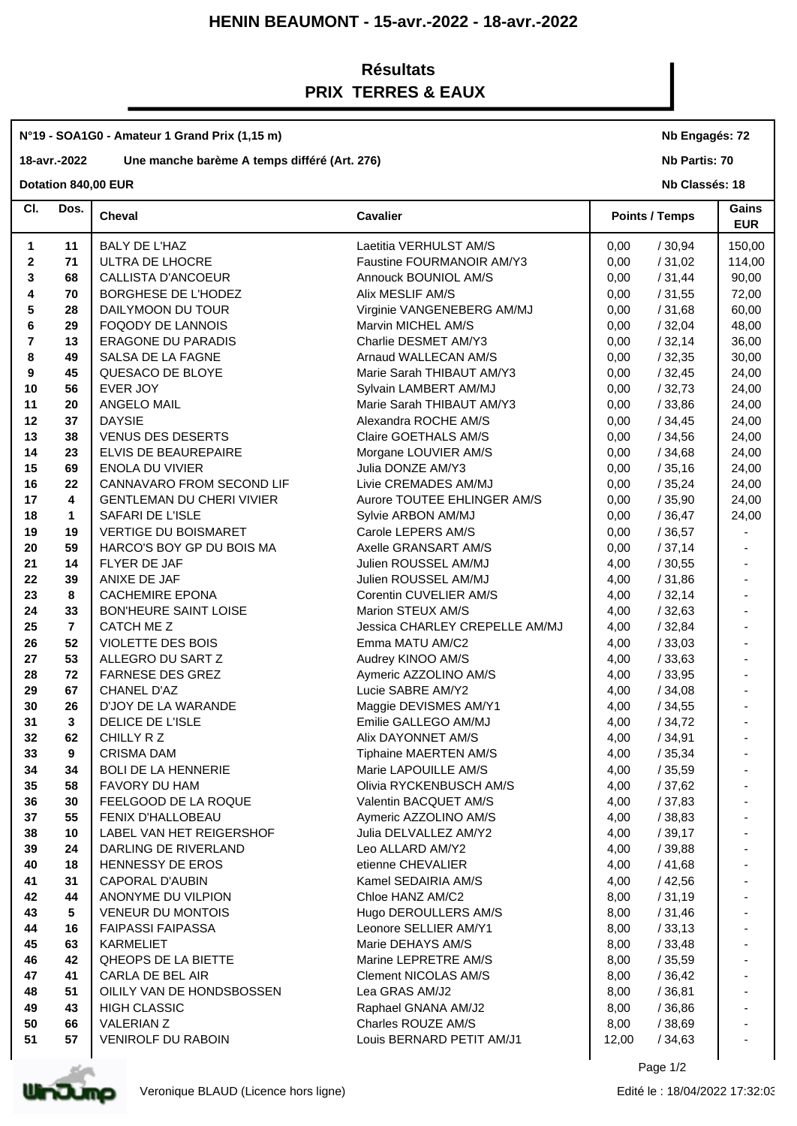# **HENIN BEAUMONT - 15-avr.-2022 - 18-avr.-2022**

# **Résultats PRIX TERRES & EAUX**

#### **N°19 - SOA1G0 - Amateur 1 Grand Prix (1,15 m)**

# **18-avr.-2022 Une manche barème A temps différé (Art. 276)**

#### **Dotation 840,00 EUR**

#### **Nb Engagés: 72**

**Nb Partis: 70**

**Nb Classés: 18** 

| CI.          | Dos.           | <b>Cheval</b>                    | <b>Cavalier</b>                |       | <b>Points / Temps</b> | Gains<br><b>EUR</b> |
|--------------|----------------|----------------------------------|--------------------------------|-------|-----------------------|---------------------|
| 1            | 11             | BALY DE L'HAZ                    | Laetitia VERHULST AM/S         | 0,00  | /30,94                | 150,00              |
| $\mathbf{2}$ | 71             | ULTRA DE LHOCRE                  | Faustine FOURMANOIR AM/Y3      | 0,00  | /31,02                | 114,00              |
| 3            | 68             | CALLISTA D'ANCOEUR               | Annouck BOUNIOL AM/S           | 0,00  | /31,44                | 90,00               |
| 4            | 70             | BORGHESE DE L'HODEZ              | Alix MESLIF AM/S               | 0,00  | /31,55                | 72,00               |
| 5            | 28             | DAILYMOON DU TOUR                | Virginie VANGENEBERG AM/MJ     | 0,00  | /31,68                | 60,00               |
| 6            | 29             | FOQODY DE LANNOIS                | Marvin MICHEL AM/S             | 0,00  | /32,04                | 48,00               |
| 7            | 13             | ERAGONE DU PARADIS               | Charlie DESMET AM/Y3           | 0,00  | /32,14                | 36,00               |
| 8            | 49             | SALSA DE LA FAGNE                | Arnaud WALLECAN AM/S           | 0,00  | /32,35                | 30,00               |
| 9            | 45             | QUESACO DE BLOYE                 | Marie Sarah THIBAUT AM/Y3      | 0,00  | /32,45                | 24,00               |
| 10           | 56             | EVER JOY                         | Sylvain LAMBERT AM/MJ          | 0,00  | /32,73                | 24,00               |
| 11           | 20             | ANGELO MAIL                      | Marie Sarah THIBAUT AM/Y3      | 0,00  | /33,86                | 24,00               |
| 12           | 37             | <b>DAYSIE</b>                    | Alexandra ROCHE AM/S           | 0,00  | /34,45                | 24,00               |
| 13           | 38             | <b>VENUS DES DESERTS</b>         | Claire GOETHALS AM/S           | 0,00  | /34,56                | 24,00               |
| 14           | 23             | ELVIS DE BEAUREPAIRE             | Morgane LOUVIER AM/S           | 0,00  | /34,68                | 24,00               |
| 15           | 69             | <b>ENOLA DU VIVIER</b>           | Julia DONZE AM/Y3              | 0,00  | /35,16                | 24,00               |
| 16           | 22             | CANNAVARO FROM SECOND LIF        | Livie CREMADES AM/MJ           | 0,00  | /35,24                | 24,00               |
| 17           | 4              | <b>GENTLEMAN DU CHERI VIVIER</b> | Aurore TOUTEE EHLINGER AM/S    | 0,00  | /35,90                | 24,00               |
| 18           | $\mathbf 1$    | SAFARI DE L'ISLE                 | Sylvie ARBON AM/MJ             | 0,00  | /36,47                | 24,00               |
| 19           | 19             | <b>VERTIGE DU BOISMARET</b>      | Carole LEPERS AM/S             | 0,00  | /36,57                |                     |
| 20           | 59             | HARCO'S BOY GP DU BOIS MA        | Axelle GRANSART AM/S           | 0,00  | /37,14                |                     |
| 21           | 14             | FLYER DE JAF                     | Julien ROUSSEL AM/MJ           | 4,00  | /30,55                |                     |
| 22           | 39             | ANIXE DE JAF                     | Julien ROUSSEL AM/MJ           | 4,00  | /31,86                |                     |
| 23           | 8              | <b>CACHEMIRE EPONA</b>           | Corentin CUVELIER AM/S         | 4,00  | /32,14                |                     |
| 24           | 33             | <b>BON'HEURE SAINT LOISE</b>     | Marion STEUX AM/S              | 4,00  | /32,63                |                     |
| 25           | $\overline{7}$ | CATCH ME Z                       | Jessica CHARLEY CREPELLE AM/MJ | 4,00  | /32,84                |                     |
| 26           | 52             | VIOLETTE DES BOIS                | Emma MATU AM/C2                | 4,00  | /33,03                |                     |
| 27           | 53             | ALLEGRO DU SART Z                | Audrey KINOO AM/S              | 4,00  | /33,63                |                     |
| 28           | 72             | <b>FARNESE DES GREZ</b>          | Aymeric AZZOLINO AM/S          | 4,00  | /33,95                |                     |
| 29           | 67             | <b>CHANEL D'AZ</b>               | Lucie SABRE AM/Y2              | 4,00  | /34,08                |                     |
| 30           | 26             | D'JOY DE LA WARANDE              | Maggie DEVISMES AM/Y1          | 4,00  | /34,55                |                     |
| 31           | 3              | DELICE DE L'ISLE                 | Emilie GALLEGO AM/MJ           | 4,00  | /34,72                |                     |
| 32           | 62             | CHILLY R Z                       | Alix DAYONNET AM/S             | 4,00  | /34,91                |                     |
| 33           | 9              | <b>CRISMA DAM</b>                | Tiphaine MAERTEN AM/S          | 4,00  | /35,34                |                     |
| 34           | 34             | <b>BOLI DE LA HENNERIE</b>       | Marie LAPOUILLE AM/S           | 4,00  | /35,59                |                     |
| 35           | 58             | FAVORY DU HAM                    | Olivia RYCKENBUSCH AM/S        | 4,00  | /37,62                |                     |
| 36           | 30             | FEELGOOD DE LA ROQUE             | Valentin BACQUET AM/S          | 4,00  | /37,83                |                     |
| 37           | 55             | FENIX D'HALLOBEAU                | Aymeric AZZOLINO AM/S          | 4,00  | /38,83                | $\overline{a}$      |
| 38           | 10             | LABEL VAN HET REIGERSHOF         | Julia DELVALLEZ AM/Y2          | 4,00  | /39,17                |                     |
| 39           | 24             | DARLING DE RIVERLAND             | Leo ALLARD AM/Y2               | 4,00  | /39,88                |                     |
| 40           | 18             | HENNESSY DE EROS                 | etienne CHEVALIER              | 4,00  | /41,68                |                     |
| 41           | 31             | <b>CAPORAL D'AUBIN</b>           | Kamel SEDAIRIA AM/S            | 4,00  | /42,56                |                     |
| 42           | 44             | ANONYME DU VILPION               | Chloe HANZ AM/C2               | 8,00  | /31,19                |                     |
| 43           | 5              | VENEUR DU MONTOIS                | Hugo DEROULLERS AM/S           | 8,00  | /31,46                |                     |
| 44           | 16             | <b>FAIPASSI FAIPASSA</b>         | Leonore SELLIER AM/Y1          | 8,00  | /33,13                |                     |
| 45           | 63             | KARMELIET                        | Marie DEHAYS AM/S              | 8,00  | /33,48                |                     |
| 46           | 42             | QHEOPS DE LA BIETTE              | Marine LEPRETRE AM/S           | 8,00  | /35,59                |                     |
| 47           | 41             | CARLA DE BEL AIR                 | <b>Clement NICOLAS AM/S</b>    | 8,00  | /36,42                |                     |
| 48           | 51             | OILILY VAN DE HONDSBOSSEN        | Lea GRAS AM/J2                 | 8,00  | /36,81                |                     |
| 49           | 43             | <b>HIGH CLASSIC</b>              | Raphael GNANA AM/J2            | 8,00  | /36,86                |                     |
| 50           | 66             | VALERIAN Z                       | Charles ROUZE AM/S             | 8,00  | /38,69                |                     |
| 51           | 57             | VENIROLF DU RABOIN               | Louis BERNARD PETIT AM/J1      | 12,00 | /34,63                |                     |
|              |                |                                  |                                |       |                       |                     |